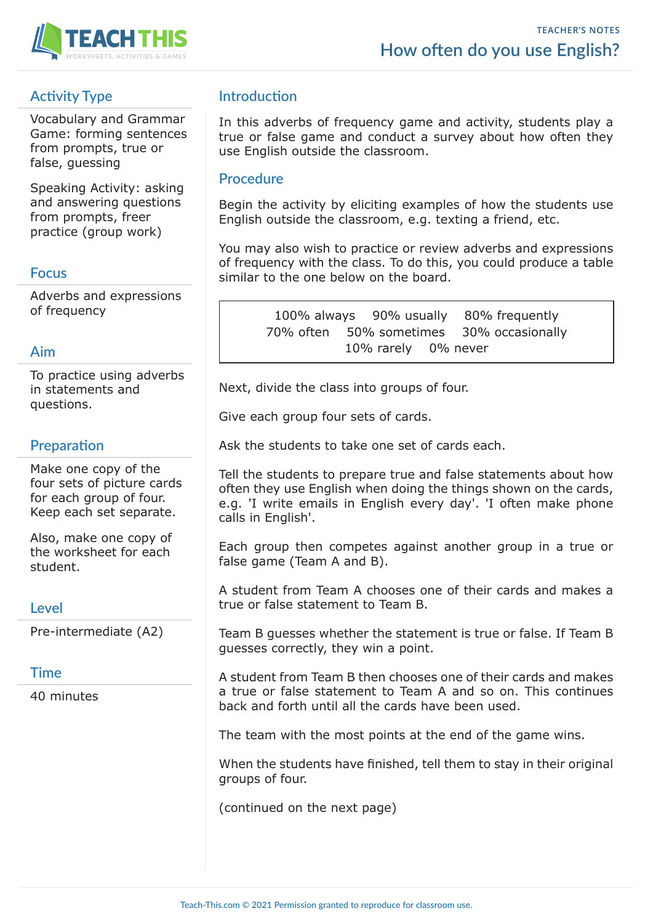

# **Activity Type**

Vocabulary and Grammar Game: forming sentences from prompts, true or false, guessing

Speaking Activity: asking and answering questions from prompts, freer practice (group work)

# **Focus**

Adverbs and expressions of frequency

### **Aim**

To practice using adverbs in statements and questions.

# **Preparation**

Make one copy of the four sets of picture cards for each group of four. Keep each set separate.

Also, make one copy of the worksheet for each student.

### **Level**

Pre-intermediate (A2)

# **Time**

40 minutes

# **Introduction**

In this adverbs of frequency game and activity, students play a true or false game and conduct a survey about how often they use English outside the classroom.

### **Procedure**

Begin the activity by eliciting examples of how the students use English outside the classroom, e.g. texting a friend, etc.

You may also wish to practice or review adverbs and expressions of frequency with the class. To do this, you could produce a table similar to the one below on the board.

> 100% always 90% usually 80% frequently 70% often 50% sometimes 30% occasionally 10% rarely 0% never

Next, divide the class into groups of four.

Give each group four sets of cards.

Ask the students to take one set of cards each.

Tell the students to prepare true and false statements about how often they use English when doing the things shown on the cards, e.g. 'I write emails in English every day'. 'I often make phone calls in English'.

Each group then competes against another group in a true or false game (Team A and B).

A student from Team A chooses one of their cards and makes a true or false statement to Team B.

Team B guesses whether the statement is true or false. If Team B guesses correctly, they win a point.

A student from Team B then chooses one of their cards and makes a true or false statement to Team A and so on. This continues back and forth until all the cards have been used.

The team with the most points at the end of the game wins.

When the students have finished, tell them to stay in their original groups of four.

(continued on the next page)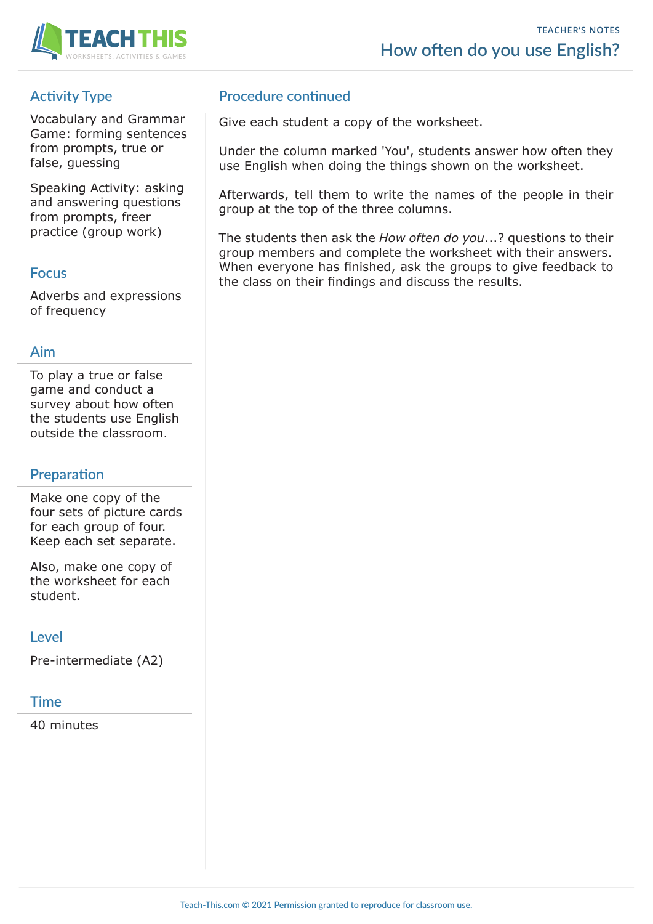

# **Activity Type**

Vocabulary and Grammar Game: forming sentences from prompts, true or false, guessing

Speaking Activity: asking and answering questions from prompts, freer practice (group work)

### **Focus**

Adverbs and expressions of frequency

### **Aim**

To play a true or false game and conduct a survey about how often the students use English outside the classroom.

# **Preparation**

Make one copy of the four sets of picture cards for each group of four. Keep each set separate.

Also, make one copy of the worksheet for each student.

# **Level**

Pre-intermediate (A2)

# **Time**

40 minutes

# **Procedure continued**

Give each student a copy of the worksheet.

Under the column marked 'You', students answer how often they use English when doing the things shown on the worksheet.

Afterwards, tell them to write the names of the people in their group at the top of the three columns.

The students then ask the *How often do you*...? questions to their group members and complete the worksheet with their answers. When everyone has finished, ask the groups to give feedback to the class on their findings and discuss the results.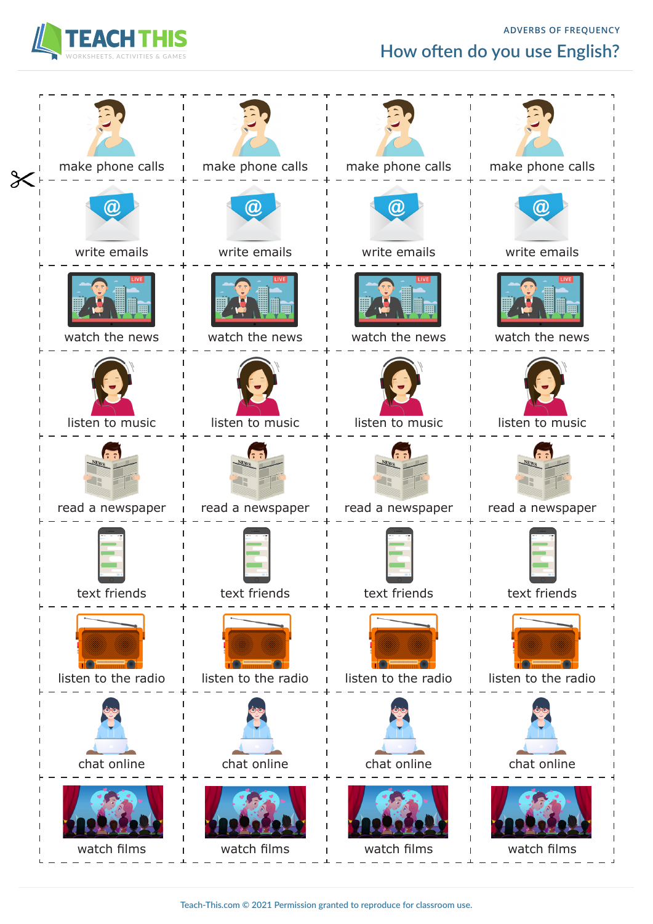

# **ADVERBS OF FREQUENCY How often do you use English?**

| $\pmb{\times}$ | make phone calls    | make phone calls<br>$\mathbf{I}$ | make phone calls<br>$\blacksquare$ | make phone calls                |
|----------------|---------------------|----------------------------------|------------------------------------|---------------------------------|
|                | a                   | OV                               |                                    |                                 |
|                | write emails        | write emails                     | write emails                       | write emails                    |
|                | watch the news      | watch the news<br>$\blacksquare$ | watch the news                     | watch the news                  |
|                | listen to music     | listen to music                  | listen to music                    | listen to music                 |
|                | read a newspaper    | read a newspaper                 | $N_{\rm EWg}$<br>read a newspaper  | <b>NEWS</b><br>read a newspaper |
|                | text friends        | text friends                     | text friends                       | text friends                    |
|                | listen to the radio | listen to the radio              | listen to the radio                | listen to the radio             |
|                | chat online         | chat online                      | chat online                        | chat online                     |
|                | watch films         | watch films                      | watch films                        | watch films                     |

**Teach-This.com © 2021 Permission granted to reproduce for classroom use.**